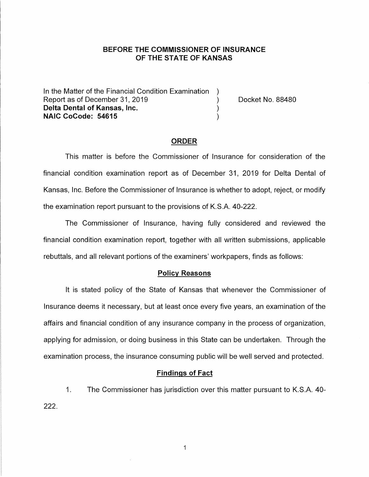## **BEFORE THE COMMISSIONER OF INSURANCE OF THE STATE OF KANSAS**

In the Matter of the Financial Condition Examination ) Report as of December 31, 2019 (and the control of Docket No. 88480) **Delta Dental of Kansas, Inc.** ) **NAIC CoCode: 54615** )

#### **ORDER**

This matter is before the Commissioner of Insurance for consideration of the financial condition examination report as of December 31, 2019 for Delta Dental of Kansas, Inc. Before the Commissioner of Insurance is whether to adopt, reject, or modify the examination report pursuant to the provisions of K.S.A. 40-222.

The Commissioner of Insurance, having fully considered and reviewed the financial condition examination report, together with all written submissions, applicable rebuttals, and all relevant portions of the examiners' workpapers, finds as follows:

### **Policy Reasons**

It is stated policy of the State of Kansas that whenever the Commissioner of Insurance deems it necessary, but at least once every five years, an examination of the affairs and financial condition of any insurance company in the process of organization, applying for admission, or doing business in this State can be undertaken. Through the examination process, the insurance consuming public will be well served and protected.

### **Findings of Fact**

1. The Commissioner has jurisdiction over this matter pursuant to K.S.A. 40- 222.

 $\mathbf{1}$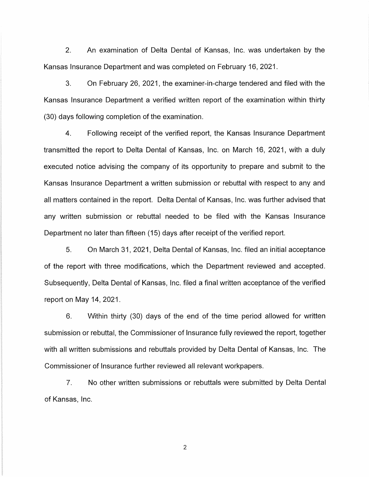2. An examination of Delta Dental of Kansas, Inc. was undertaken by the Kansas Insurance Department and was completed on February 16, 2021.

3. On February 26, 2021, the examiner-in-charge tendered and filed with the Kansas Insurance Department a verified written report of the examination within thirty (30) days following completion of the examination.

4. Following receipt of the verified report, the Kansas Insurance Department transmitted the report to Delta Dental of Kansas, Inc. on March 16, 2021, with a duly executed notice advising the company of its opportunity to prepare and submit to the Kansas Insurance Department a written submission or rebuttal with respect to any and all matters contained in the report. Delta Dental of Kansas, Inc. was further advised that any written submission or rebuttal needed to be filed with the Kansas Insurance Department no later than fifteen ( 15) days after receipt of the verified report.

5. On March 31, 2021, Delta Dental of Kansas, Inc. filed an initial acceptance of the report with three modifications, which the Department reviewed and accepted. Subsequently, Delta Dental of Kansas, Inc. filed a final written acceptance of the verified report on May 14, 2021.

6. Within thirty (30) days of the end of the time period allowed for written submission or rebuttal, the Commissioner of Insurance fully reviewed the report, together with all written submissions and rebuttals provided by Delta Dental of Kansas, Inc. The Commissioner of Insurance further reviewed all relevant workpapers.

7. No other written submissions or rebuttals were submitted by Delta Dental of Kansas, Inc.

2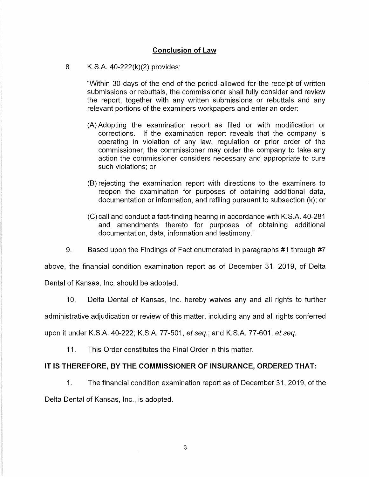## **Conclusion of Law**

## 8. K.S.A. 40-222(k)(2) provides:

"Within 30 days of the end of the period allowed for the receipt of written submissions or rebuttals, the commissioner shall fully consider and review the report, together with any written submissions or rebuttals and any relevant portions of the examiners workpapers and enter an order:

- (A) Adopting the examination report as filed or with modification or corrections. If the examination report reveals that the company is operating in violation of any law, regulation or prior order of the commissioner, the commissioner may order the company to take any action the commissioner considers necessary and appropriate to cure such violations; or
- (8) rejecting the examination report with directions to the examiners to reopen the examination for purposes of obtaining additional data, documentation or information, and refiling pursuant to subsection (k); or
- (C) call and conduct a fact-finding hearing in accordance with K.S.A. 40-281 and amendments thereto for purposes of obtaining additional documentation, data, information and testimony."
- 9. Based upon the Findings of Fact enumerated in paragraphs #1 through #7

above, the financial condition examination report as of December 31, 2019, of Delta Dental of Kansas, Inc. should be adopted.

10. Delta Dental of Kansas, Inc. hereby waives any and all rights to further

administrative adjudication or review of this matter, including any and all rights conferred

upon it under K.S.A. 40-222; K.S.A. 77-501, et seq.; and K.S.A. 77-601, et seq.

11. This Order constitutes the Final Order in this matter.

## **IT IS THEREFORE, BY THE COMMISSIONER OF INSURANCE, ORDERED THAT:**

1. The financial condition examination report as of December 31, 2019, of the Delta Dental of Kansas, Inc., is adopted.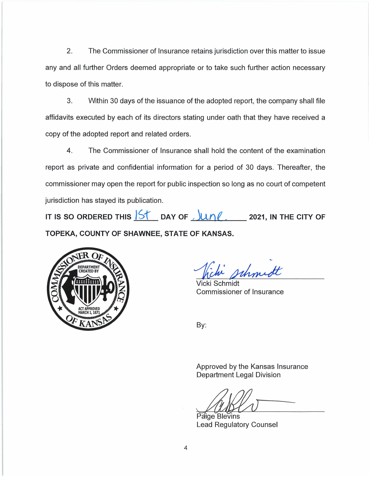2. The Commissioner of Insurance retains jurisdiction over this matter to issue any and all further Orders deemed appropriate or to take such further action necessary to dispose of this matter.

3. Within 30 days of the issuance of the adopted report, the company shall file affidavits executed by each of its directors stating under oath that they have received a copy of the adopted report and related orders.

4. The Commissioner of Insurance shall hold the content of the examination report as private and confidential information for a period of 30 days. Thereafter, the commissioner may open the report for public inspection so long as no court of competent jurisdiction has stayed its publication.

IT IS SO ORDERED THIS  $\frac{|S|}{S}$  DAY OF  $\frac{|U \cap \ell|}{S}$  ,  $\frac{|U \cap \ell|}{S}$  2021, IN THE CITY OF **TOPEKA, COUNTY OF SHAWNEE, STATE OF KANSAS.** 



Whomet

Vicki Schmidt Commissioner of Insurance

By:

Approved by the Kansas Insurance Department Legal Division

 $\sim$   $\sim$   $\sim$ 

Paige Blevins Lead Regulatory Counsel